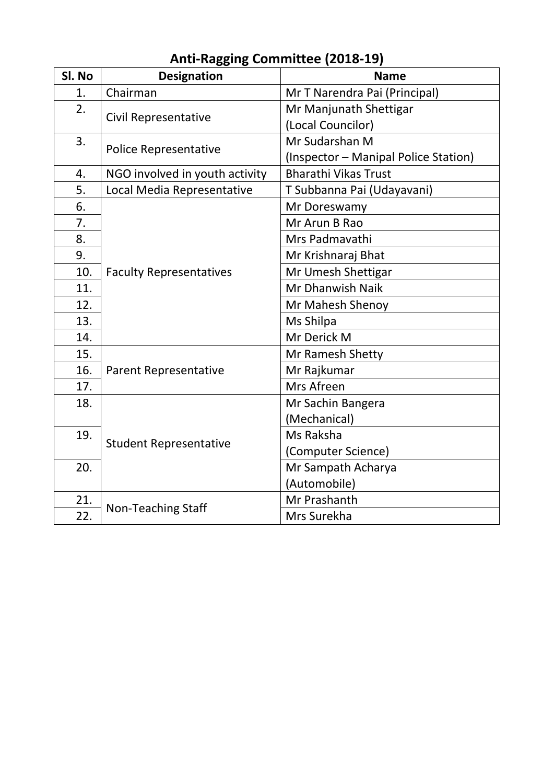| Sl. No | <b>Designation</b>             | <b>Name</b>                          |  |
|--------|--------------------------------|--------------------------------------|--|
| 1.     | Chairman                       | Mr T Narendra Pai (Principal)        |  |
| 2.     |                                | Mr Manjunath Shettigar               |  |
|        | <b>Civil Representative</b>    | (Local Councilor)                    |  |
| 3.     |                                | Mr Sudarshan M                       |  |
|        | <b>Police Representative</b>   | (Inspector – Manipal Police Station) |  |
| 4.     | NGO involved in youth activity | <b>Bharathi Vikas Trust</b>          |  |
| 5.     | Local Media Representative     | T Subbanna Pai (Udayavani)           |  |
| 6.     |                                | Mr Doreswamy                         |  |
| 7.     |                                | Mr Arun B Rao                        |  |
| 8.     |                                | Mrs Padmavathi                       |  |
| 9.     |                                | Mr Krishnaraj Bhat                   |  |
| 10.    | <b>Faculty Representatives</b> | Mr Umesh Shettigar                   |  |
| 11.    |                                | Mr Dhanwish Naik                     |  |
| 12.    |                                | Mr Mahesh Shenoy                     |  |
| 13.    |                                | Ms Shilpa                            |  |
| 14.    |                                | Mr Derick M                          |  |
| 15.    |                                | Mr Ramesh Shetty                     |  |
| 16.    | <b>Parent Representative</b>   | Mr Rajkumar                          |  |
| 17.    |                                | Mrs Afreen                           |  |
| 18.    |                                | Mr Sachin Bangera                    |  |
|        |                                | (Mechanical)                         |  |
| 19.    |                                | Ms Raksha                            |  |
|        | <b>Student Representative</b>  | (Computer Science)                   |  |
| 20.    |                                | Mr Sampath Acharya                   |  |
|        |                                | (Automobile)                         |  |
| 21.    |                                | Mr Prashanth                         |  |
| 22.    | <b>Non-Teaching Staff</b>      | Mrs Surekha                          |  |

#### **Anti-Ragging Committee (2018-19)**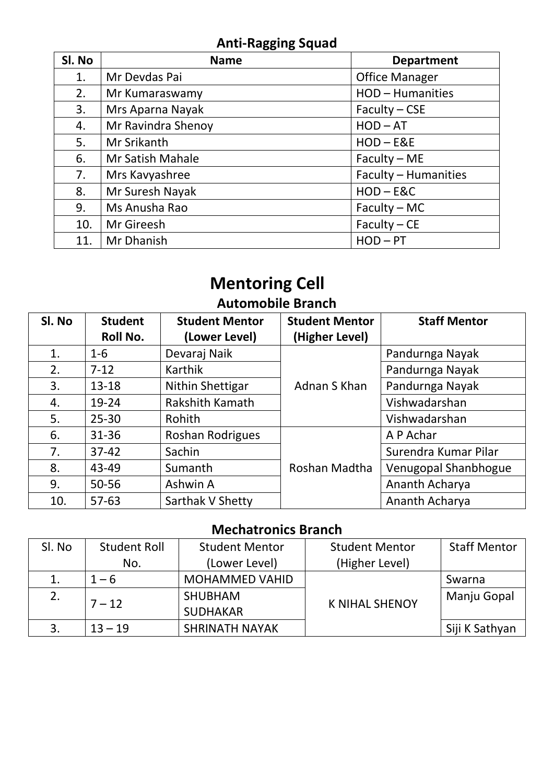## **Anti-Ragging Squad**

| SI. No | <b>Name</b>        | <b>Department</b>     |
|--------|--------------------|-----------------------|
| 1.     | Mr Devdas Pai      | <b>Office Manager</b> |
| 2.     | Mr Kumaraswamy     | HOD-Humanities        |
| 3.     | Mrs Aparna Nayak   | $Faculty - CSE$       |
| 4.     | Mr Ravindra Shenoy | $HOD - AT$            |
| 5.     | Mr Srikanth        | $HOD - EBE$           |
| 6.     | Mr Satish Mahale   | $Faculty - ME$        |
| 7.     | Mrs Kavyashree     | Faculty - Humanities  |
| 8.     | Mr Suresh Nayak    | $HOD - EAC$           |
| 9.     | Ms Anusha Rao      | $Faculty - MC$        |
| 10.    | Mr Gireesh         | $Faculty - CE$        |
| 11.    | Mr Dhanish         | $HOD - PT$            |

# **Mentoring Cell**

## **Automobile Branch**

| SI. No | <b>Student</b><br>Roll No. | <b>Student Mentor</b><br>(Lower Level) | <b>Student Mentor</b><br>(Higher Level) | <b>Staff Mentor</b>  |
|--------|----------------------------|----------------------------------------|-----------------------------------------|----------------------|
| 1.     | $1 - 6$                    | Devaraj Naik                           |                                         | Pandurnga Nayak      |
| 2.     | $7 - 12$                   | Karthik                                |                                         | Pandurnga Nayak      |
| 3.     | $13 - 18$                  | Nithin Shettigar                       | Adnan S Khan                            | Pandurnga Nayak      |
| 4.     | 19-24                      | Rakshith Kamath                        |                                         | Vishwadarshan        |
| 5.     | $25 - 30$                  | Rohith                                 |                                         | Vishwadarshan        |
| 6.     | $31 - 36$                  | Roshan Rodrigues                       |                                         | A P Achar            |
| 7.     | $37 - 42$                  | Sachin                                 |                                         | Surendra Kumar Pilar |
| 8.     | 43-49                      | Sumanth                                | Roshan Madtha                           | Venugopal Shanbhogue |
| 9.     | $50 - 56$                  | Ashwin A                               |                                         | Ananth Acharya       |
| 10.    | $57 - 63$                  | Sarthak V Shetty                       |                                         | Ananth Acharya       |

## **Mechatronics Branch**

| SI. No | <b>Student Roll</b> | <b>Student Mentor</b> | <b>Student Mentor</b> | <b>Staff Mentor</b> |
|--------|---------------------|-----------------------|-----------------------|---------------------|
|        | No.                 | (Lower Level)         | (Higher Level)        |                     |
|        | $1 - 6$             | <b>MOHAMMED VAHID</b> |                       | Swarna              |
| 2.     | $7 - 12$            | <b>SHUBHAM</b>        | <b>K NIHAL SHENOY</b> | Manju Gopal         |
|        |                     | <b>SUDHAKAR</b>       |                       |                     |
|        | $13 - 19$           | <b>SHRINATH NAYAK</b> |                       | Siji K Sathyan      |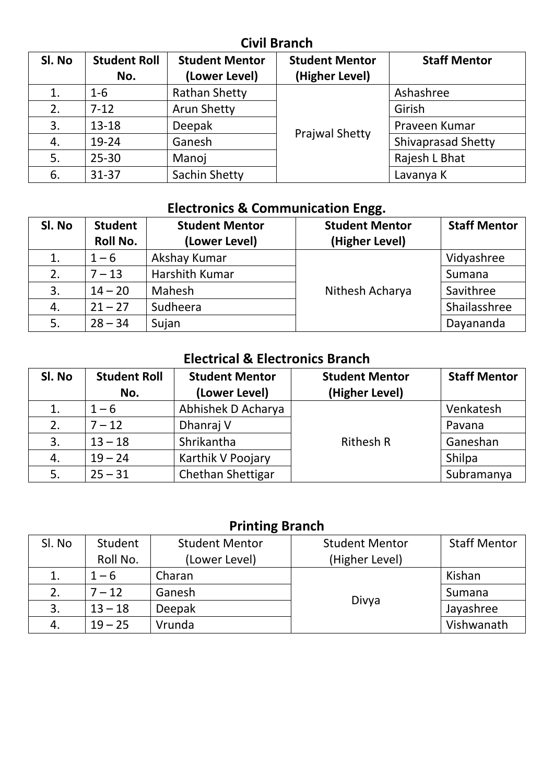#### **Civil Branch**

| Sl. No | <b>Student Roll</b><br>No. | <b>Student Mentor</b><br>(Lower Level) | <b>Student Mentor</b><br>(Higher Level) | <b>Staff Mentor</b>       |
|--------|----------------------------|----------------------------------------|-----------------------------------------|---------------------------|
| 1.     | $1 - 6$                    | <b>Rathan Shetty</b>                   |                                         | Ashashree                 |
| 2.     | $7 - 12$                   | <b>Arun Shetty</b>                     |                                         | Girish                    |
| 3.     | $13 - 18$                  | Deepak                                 |                                         | Praveen Kumar             |
| 4.     | 19-24                      | Ganesh                                 | <b>Prajwal Shetty</b>                   | <b>Shivaprasad Shetty</b> |
| 5.     | $25 - 30$                  | Manoj                                  |                                         | Rajesh L Bhat             |
| 6.     | $31 - 37$                  | Sachin Shetty                          |                                         | Lavanya K                 |

## **Electronics & Communication Engg.**

| SI. No | <b>Student</b><br><b>Roll No.</b> | <b>Student Mentor</b><br>(Lower Level) | <b>Student Mentor</b><br>(Higher Level) | <b>Staff Mentor</b> |
|--------|-----------------------------------|----------------------------------------|-----------------------------------------|---------------------|
| 1.     | $1 - 6$                           | Akshay Kumar                           |                                         | Vidyashree          |
| 2.     | $7 - 13$                          | Harshith Kumar                         |                                         | Sumana              |
| 3.     | $14 - 20$                         | Mahesh                                 | Nithesh Acharya                         | Savithree           |
| 4.     | $21 - 27$                         | Sudheera                               |                                         | Shailasshree        |
| 5.     | $28 - 34$                         | Sujan                                  |                                         | Dayananda           |

## **Electrical & Electronics Branch**

| SI. No | <b>Student Roll</b> | <b>Student Mentor</b> | <b>Student Mentor</b> | <b>Staff Mentor</b> |
|--------|---------------------|-----------------------|-----------------------|---------------------|
|        | No.                 | (Lower Level)         | (Higher Level)        |                     |
| 1.     | $1 - 6$             | Abhishek D Acharya    |                       | Venkatesh           |
| 2.     | $7 - 12$            | Dhanraj V             |                       | Pavana              |
| 3.     | $13 - 18$           | Shrikantha            | <b>Rithesh R</b>      | Ganeshan            |
| 4.     | $19 - 24$           | Karthik V Poojary     |                       | Shilpa              |
| 5.     | $25 - 31$           | Chethan Shettigar     |                       | Subramanya          |

## **Printing Branch**

| SI. No | Student   | <b>Student Mentor</b> | <b>Student Mentor</b> | <b>Staff Mentor</b> |
|--------|-----------|-----------------------|-----------------------|---------------------|
|        | Roll No.  | (Lower Level)         | (Higher Level)        |                     |
|        | $1 - 6$   | Charan                |                       | Kishan              |
|        | $7 - 12$  | Ganesh                |                       | Sumana              |
| 3.     | $13 - 18$ | <b>Deepak</b>         | Divya                 | Jayashree           |
| 4.     | $19 - 25$ | Vrunda                |                       | Vishwanath          |